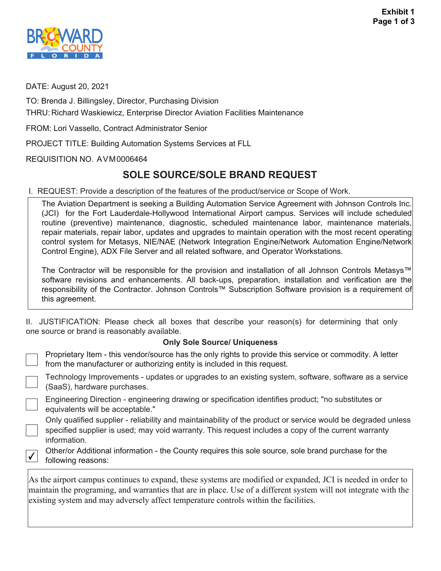

DATE: August 20, 2021

TO: Brenda J. Billingsley, Director, Purchasing Division THRU: Richard Waskiewicz, Enterprise Director Aviation Facilities Maintenance

FROM: Lori Vassello, Contract Administrator Senior

PROJECT TITLE: Building Automation Systems Services at FLL

REQUISITION NO. AVM0006464

## **SOLE SOURCE/SOLE BRAND REQUEST**

I. REQUEST: Provide a description of the features of the product/service or Scope of Work.

The Aviation Department is seeking a Building Automation Service Agreement with Johnson Controls Inc. (JCI) for the Fort Lauderdale-Hollywood International Airport campus. Services will include scheduled routine (preventive) maintenance, diagnostic, scheduled maintenance labor, maintenance materials, repair materials, repair labor, updates and upgrades to maintain operation with the most recent operating control system for Metasys, NIE/NAE (Network Integration Engine/Network Automation Engine/Network Control Engine), ADX File Server and all related software, and Operator Workstations.

The Contractor will be responsible for the provision and installation of all Johnson Controls Metasys™ software revisions and enhancements. All back-ups, preparation, installation and verification are the responsibility of the Contractor. Johnson Controls™ Subscription Software provision is a requirement of this agreement.

II. JUSTIFICATION: Please check all boxes that describe your reason(s) for determining that only one source or brand is reasonably available.

## **Only Sole Source/ Uniqueness**

| Proprietary Item - this vendor/source has the only rights to provide this service or commodity. A letter<br>$\Box$ from the manufacturer or authorizing entity is included in this request. |
|---------------------------------------------------------------------------------------------------------------------------------------------------------------------------------------------|
| Technology Improvements - updates or upgrades to an existing system, software, software as a service<br>$\Box$ (SaaS), hardware purchases.                                                  |
| Engineering Direction - engineering drawing or specification identifies product; "no substitutes or                                                                                         |

 $\Box$  equivalents will be acceptable." Only qualified supplier - reliability and maintainability of the product or service would be degraded unless

specified supplier is used; may void warranty. This request includes a copy of the current warranty information.

Other/or Additional information - the County requires this sole source, sole brand purchase for the  $\bigcirc$  following reasons:

As the airport campus continues to expand, these systems are modified or expanded, JCI is needed in order to maintain the programing, and warranties that are in place. Use of a different system will not integrate with the existing system and may adversely affect temperature controls within the facilities.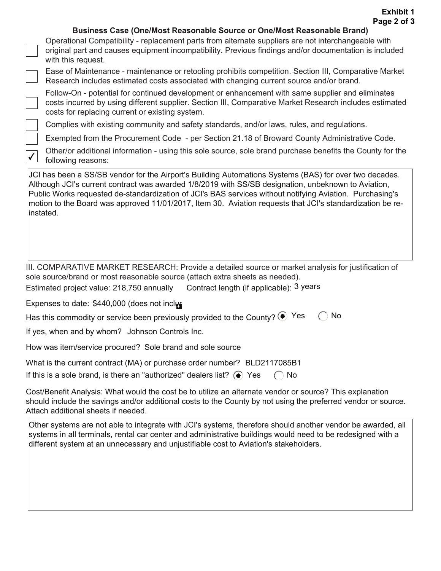## **Business Case (One/Most Reasonable Source or One/Most Reasonable Brand)**

Operational Compatibility - replacement parts from alternate suppliers are not interchangeable with original part and causes equipment incompatibility. Previous findings and/or documentation is included with this request.

Ease of Maintenance - maintenance or retooling prohibits competition. Section III, Comparative Market Research includes estimated costs associated with changing current source and/or brand.

Follow-On - potential for continued development or enhancement with same supplier and eliminates costs incurred by using different supplier. Section III, Comparative Market Research includes estimated costs for replacing current or existing system.

Complies with existing community and safety standards, and/or laws, rules, and regulations.

Exempted from the Procurement Code - per Section 21.18 of Broward County Administrative Code.

Other/or additional information - using this sole source, sole brand purchase benefits the County for the following reasons:

JCI has been a SS/SB vendor for the Airport's Building Automations Systems (BAS) for over two decades. Although JCI's current contract was awarded 1/8/2019 with SS/SB designation, unbeknown to Aviation, Public Works requested de-standardization of JCI's BAS services without notifying Aviation. Purchasing's motion to the Board was approved 11/01/2017, Item 30. Aviation requests that JCI's standardization be reinstated.

III. COMPARATIVE MARKET RESEARCH: Provide a detailed source or market analysis for justification of sole source/brand or most reasonable source (attach extra sheets as needed).

Estimated project value: 218,750 annually Contract length (if applicable): 3 years

Expenses to date: \$440,000 (does not inclus

 $\checkmark$ 

| Has this commodity or service been previously provided to the County? $\bullet$ Yes $\circ$ No |  |  |  |
|------------------------------------------------------------------------------------------------|--|--|--|
|------------------------------------------------------------------------------------------------|--|--|--|

If yes, when and by whom? Johnson Controls Inc.

How was item/service procured? Sole brand and sole source

What is the current contract (MA) or purchase order number? BLD2117085B1

If this is a sole brand, is there an "authorized" dealers list?  $\bigcirc$  Yes  $\bigcirc$  No

Cost/Benefit Analysis: What would the cost be to utilize an alternate vendor or source? This explanation should include the savings and/or additional costs to the County by not using the preferred vendor or source. Attach additional sheets if needed.

Other systems are not able to integrate with JCI's systems, therefore should another vendor be awarded, all systems in all terminals, rental car center and administrative buildings would need to be redesigned with a different system at an unnecessary and unjustifiable cost to Aviation's stakeholders.